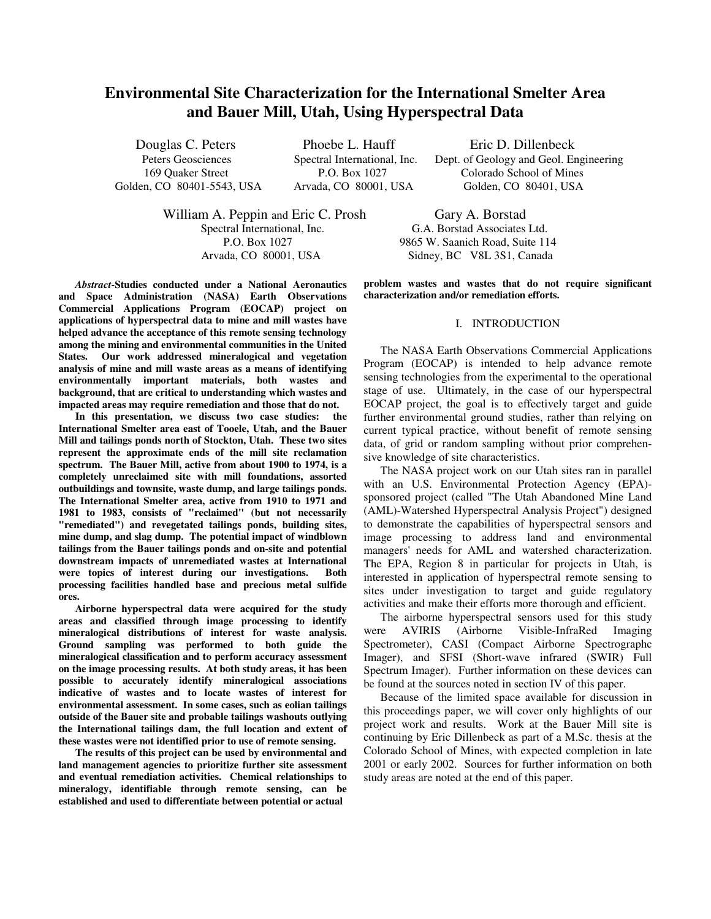# **Environmental Site Characterization for the International Smelter Area and Bauer Mill, Utah, Using Hyperspectral Data**

Douglas C. Peters Phoebe L. Hauff Eric D. Dillenbeck Peters Geosciences Spectral International, Inc. Dept. of Geology and Geol. Engineering 169 Quaker Street P.O. Box 1027 Colorado School of Mines Golden, CO 80401-5543, USA Arvada, CO 80001, USA Golden, CO 80401, USA

William A. Peppin and Eric C. Prosh Gary A. Borstad Spectral International, Inc. G.A. Borstad Associates Ltd.

*Abstract***-Studies conducted under a National Aeronautics and Space Administration (NASA) Earth Observations Commercial Applications Program (EOCAP) project on applications of hyperspectral data to mine and mill wastes have helped advance the acceptance of this remote sensing technology among the mining and environmental communities in the United States. Our work addressed mineralogical and vegetation analysis of mine and mill waste areas as a means of identifying environmentally important materials, both wastes and background, that are critical to understanding which wastes and impacted areas may require remediation and those that do not.**

**In this presentation, we discuss two case studies: the International Smelter area east of Tooele, Utah, and the Bauer Mill and tailings ponds north of Stockton, Utah. These two sites represent the approximate ends of the mill site reclamation spectrum. The Bauer Mill, active from about 1900 to 1974, is a completely unreclaimed site with mill foundations, assorted outbuildings and townsite, waste dump, and large tailings ponds. The International Smelter area, active from 1910 to 1971 and 1981 to 1983, consists of "reclaimed" (but not necessarily "remediated") and revegetated tailings ponds, building sites, mine dump, and slag dump. The potential impact of windblown tailings from the Bauer tailings ponds and on-site and potential downstream impacts of unremediated wastes at International were topics of interest during our investigations. Both processing facilities handled base and precious metal sulfide ores.**

**Airborne hyperspectral data were acquired for the study areas and classified through image processing to identify mineralogical distributions of interest for waste analysis. Ground sampling was performed to both guide the mineralogical classification and to perform accuracy assessment on the image processing results. At both study areas, it has been possible to accurately identify mineralogical associations indicative of wastes and to locate wastes of interest for environmental assessment. In some cases, such as eolian tailings outside of the Bauer site and probable tailings washouts outlying the International tailings dam, the full location and extent of these wastes were not identified prior to use of remote sensing.**

**The results of this project can be used by environmental and land management agencies to prioritize further site assessment and eventual remediation activities. Chemical relationships to mineralogy, identifiable through remote sensing, can be established and used to differentiate between potential or actual**

 P.O. Box 1027 9865 W. Saanich Road, Suite 114 Arvada, CO 80001, USA Sidney, BC V8L 3S1, Canada

> **problem wastes and wastes that do not require significant characterization and/or remediation efforts.**

#### I. INTRODUCTION

The NASA Earth Observations Commercial Applications Program (EOCAP) is intended to help advance remote sensing technologies from the experimental to the operational stage of use. Ultimately, in the case of our hyperspectral EOCAP project, the goal is to effectively target and guide further environmental ground studies, rather than relying on current typical practice, without benefit of remote sensing data, of grid or random sampling without prior comprehensive knowledge of site characteristics.

The NASA project work on our Utah sites ran in parallel with an U.S. Environmental Protection Agency (EPA)sponsored project (called "The Utah Abandoned Mine Land (AML)-Watershed Hyperspectral Analysis Project") designed to demonstrate the capabilities of hyperspectral sensors and image processing to address land and environmental managers' needs for AML and watershed characterization. The EPA, Region 8 in particular for projects in Utah, is interested in application of hyperspectral remote sensing to sites under investigation to target and guide regulatory activities and make their efforts more thorough and efficient.

The airborne hyperspectral sensors used for this study were AVIRIS (Airborne Visible-InfraRed Imaging Spectrometer), CASI (Compact Airborne Spectrographc Imager), and SFSI (Short-wave infrared (SWIR) Full Spectrum Imager). Further information on these devices can be found at the sources noted in section IV of this paper.

Because of the limited space available for discussion in this proceedings paper, we will cover only highlights of our project work and results. Work at the Bauer Mill site is continuing by Eric Dillenbeck as part of a M.Sc. thesis at the Colorado School of Mines, with expected completion in late 2001 or early 2002. Sources for further information on both study areas are noted at the end of this paper.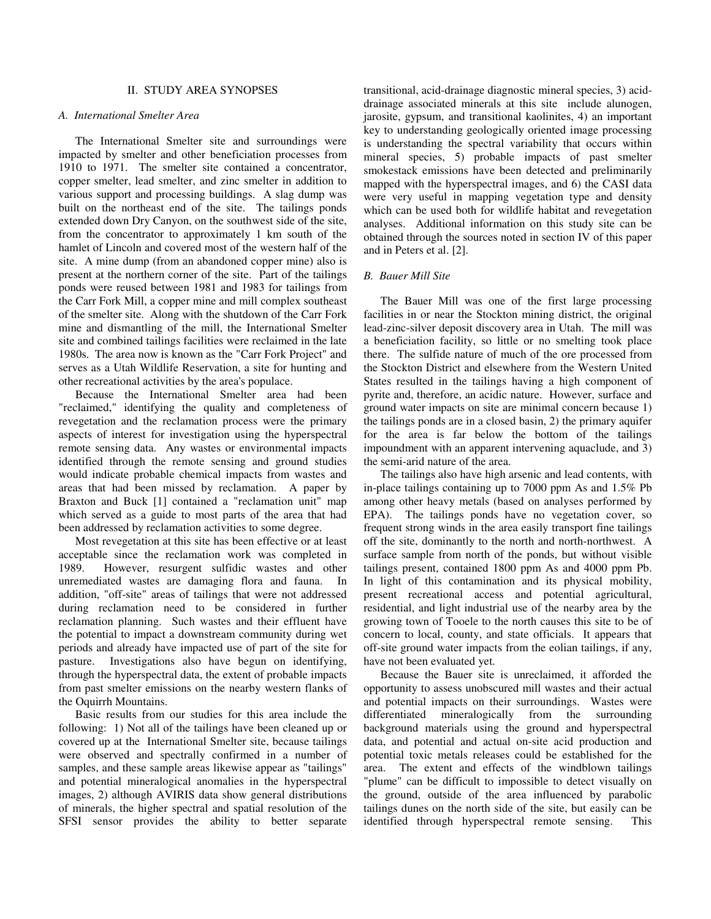## II. STUDY AREA SYNOPSES

#### *A. International Smelter Area*

The International Smelter site and surroundings were impacted by smelter and other beneficiation processes from 1910 to 1971. The smelter site contained a concentrator, copper smelter, lead smelter, and zinc smelter in addition to various support and processing buildings. A slag dump was built on the northeast end of the site. The tailings ponds extended down Dry Canyon, on the southwest side of the site, from the concentrator to approximately 1 km south of the hamlet of Lincoln and covered most of the western half of the site. A mine dump (from an abandoned copper mine) also is present at the northern corner of the site. Part of the tailings ponds were reused between 1981 and 1983 for tailings from the Carr Fork Mill, a copper mine and mill complex southeast of the smelter site. Along with the shutdown of the Carr Fork mine and dismantling of the mill, the International Smelter site and combined tailings facilities were reclaimed in the late 1980s. The area now is known as the "Carr Fork Project" and serves as a Utah Wildlife Reservation, a site for hunting and other recreational activities by the area's populace.

Because the International Smelter area had been "reclaimed," identifying the quality and completeness of revegetation and the reclamation process were the primary aspects of interest for investigation using the hyperspectral remote sensing data. Any wastes or environmental impacts identified through the remote sensing and ground studies would indicate probable chemical impacts from wastes and areas that had been missed by reclamation. A paper by Braxton and Buck [1] contained a "reclamation unit" map which served as a guide to most parts of the area that had been addressed by reclamation activities to some degree.

Most revegetation at this site has been effective or at least acceptable since the reclamation work was completed in 1989. However, resurgent sulfidic wastes and other unremediated wastes are damaging flora and fauna. In addition, "off-site" areas of tailings that were not addressed during reclamation need to be considered in further reclamation planning. Such wastes and their effluent have the potential to impact a downstream community during wet periods and already have impacted use of part of the site for pasture. Investigations also have begun on identifying, through the hyperspectral data, the extent of probable impacts from past smelter emissions on the nearby western flanks of the Oquirrh Mountains.

Basic results from our studies for this area include the following: 1) Not all of the tailings have been cleaned up or covered up at the International Smelter site, because tailings were observed and spectrally confirmed in a number of samples, and these sample areas likewise appear as "tailings" and potential mineralogical anomalies in the hyperspectral images, 2) although AVIRIS data show general distributions of minerals, the higher spectral and spatial resolution of the SFSI sensor provides the ability to better separate transitional, acid-drainage diagnostic mineral species, 3) aciddrainage associated minerals at this site include alunogen, jarosite, gypsum, and transitional kaolinites, 4) an important key to understanding geologically oriented image processing is understanding the spectral variability that occurs within mineral species, 5) probable impacts of past smelter smokestack emissions have been detected and preliminarily mapped with the hyperspectral images, and 6) the CASI data were very useful in mapping vegetation type and density which can be used both for wildlife habitat and revegetation analyses. Additional information on this study site can be obtained through the sources noted in section IV of this paper and in Peters et al. [2].

#### *B. Bauer Mill Site*

The Bauer Mill was one of the first large processing facilities in or near the Stockton mining district, the original lead-zinc-silver deposit discovery area in Utah. The mill was a beneficiation facility, so little or no smelting took place there. The sulfide nature of much of the ore processed from the Stockton District and elsewhere from the Western United States resulted in the tailings having a high component of pyrite and, therefore, an acidic nature. However, surface and ground water impacts on site are minimal concern because 1) the tailings ponds are in a closed basin, 2) the primary aquifer for the area is far below the bottom of the tailings impoundment with an apparent intervening aquaclude, and 3) the semi-arid nature of the area.

The tailings also have high arsenic and lead contents, with in-place tailings containing up to 7000 ppm As and 1.5% Pb among other heavy metals (based on analyses performed by EPA). The tailings ponds have no vegetation cover, so frequent strong winds in the area easily transport fine tailings off the site, dominantly to the north and north-northwest. A surface sample from north of the ponds, but without visible tailings present, contained 1800 ppm As and 4000 ppm Pb. In light of this contamination and its physical mobility, present recreational access and potential agricultural, residential, and light industrial use of the nearby area by the growing town of Tooele to the north causes this site to be of concern to local, county, and state officials. It appears that off-site ground water impacts from the eolian tailings, if any, have not been evaluated yet.

Because the Bauer site is unreclaimed, it afforded the opportunity to assess unobscured mill wastes and their actual and potential impacts on their surroundings. Wastes were differentiated mineralogically from the surrounding background materials using the ground and hyperspectral data, and potential and actual on-site acid production and potential toxic metals releases could be established for the area. The extent and effects of the windblown tailings "plume" can be difficult to impossible to detect visually on the ground, outside of the area influenced by parabolic tailings dunes on the north side of the site, but easily can be identified through hyperspectral remote sensing. This